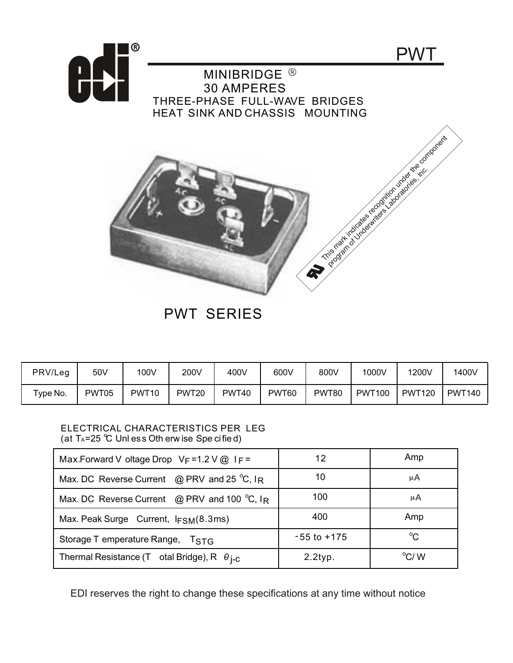



## PWT SERIES

| PRV/Leg  | 50V   | 100V              | 200V  | 400V  | 600V  | 800V  | 1000V         | 1200V         | 1400V         |
|----------|-------|-------------------|-------|-------|-------|-------|---------------|---------------|---------------|
| Type No. | PWT05 | PWT <sub>10</sub> | PWT20 | PWT40 | PWT60 | PWT80 | <b>PWT100</b> | <b>PWT120</b> | <b>PWT140</b> |

## ELECTRICAL CHARACTERISTICS PER LEG (at  $T_A = 25$  °C Unl ess Oth erw ise Spe cified)

| Max.Forward V oltage Drop $V_F = 1.2 V @ I_F =$             | 12              | Amp         |  |
|-------------------------------------------------------------|-----------------|-------------|--|
| Max. DC Reverse Current @ PRV and 25 $^{\circ}$ C, IR       | 10              | μA          |  |
| Max. DC Reverse Current @ PRV and 100 $^{\circ}$ C, IR      | 100             | μA          |  |
| Max. Peak Surge Current, $I_{FSM}(8.3ms)$                   | 400             | Amp         |  |
| Storage T emperature Range, TSTG                            | $-55$ to $+175$ | $^{\circ}C$ |  |
| Thermal Resistance (T otal Bridge), R $\theta_{\text{i-C}}$ | $2.2$ typ.      | °C/W        |  |

EDI reserves the right to change these specifications at any time without notice